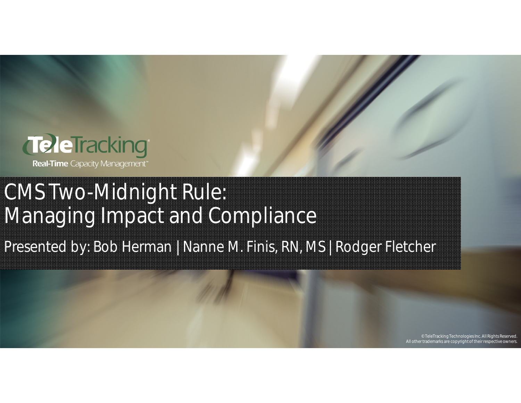

# CMS Two-Midnight Rule: Managing Impact and Compliance

Presented by: Bob Herman | Nanne M. Finis, RN, MS | Rodger Fletcher

© TeleTracking Technologies Inc. All Rights Reserved. All other trademarks are copyright of their respective owners.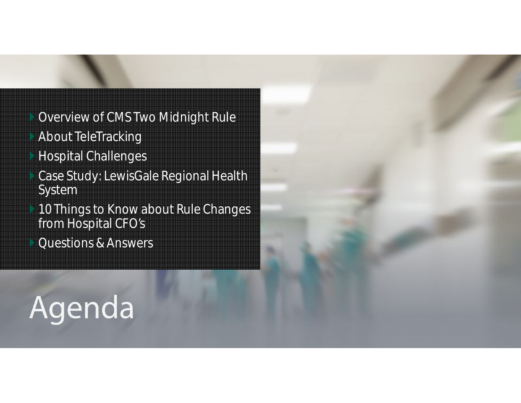- Overview of CMS Two Midnight Rule
- About TeleTracking
- Hospital Challenges
- Case Study: LewisGale Regional Health System
- **10 Things to Know about Rule Changes** from Hospital CFO's
	- Questions & Answers

# Agenda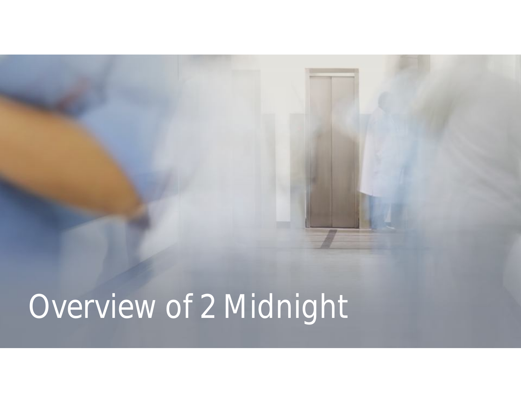# Overview of 2 Midnight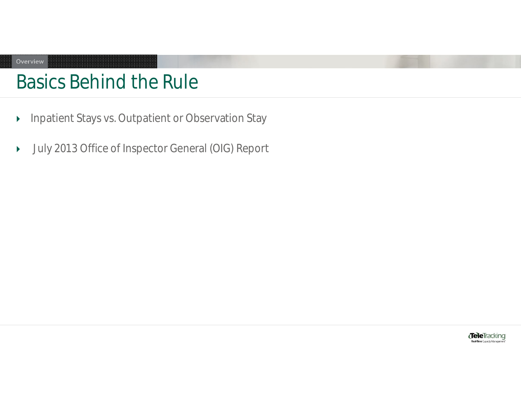# Basics Behind the Rule

Overview

- **Inpatient Stays vs. Outpatient or Observation Stay**
- July 2013 Office of Inspector General (OIG) Report

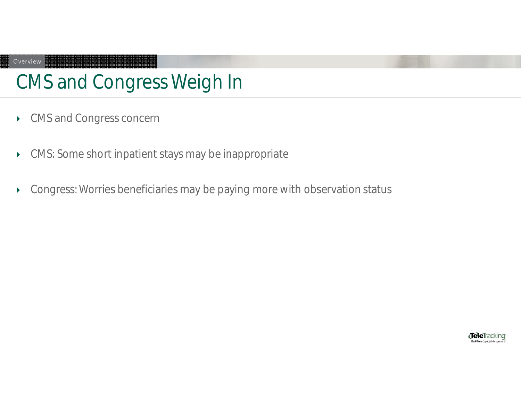# CMS and Congress Weigh In

CMS and Congress concern

Overview

- CMS: Some short inpatient stays may be inappropriate
- Congress: Worries beneficiaries may be paying more with observation status

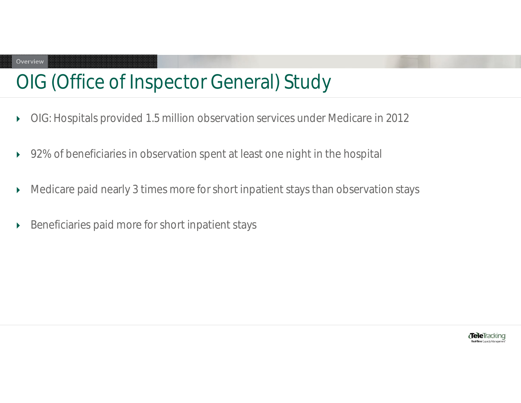### Overview

## OIG (Office of Inspector General) Study

- OIG: Hospitals provided 1.5 million observation services under Medicare in 2012
- ▶ 92% of beneficiaries in observation spent at least one night in the hospital
- Medicare paid nearly 3 times more for short inpatient stays than observation stays
- Beneficiaries paid more for short inpatient stays

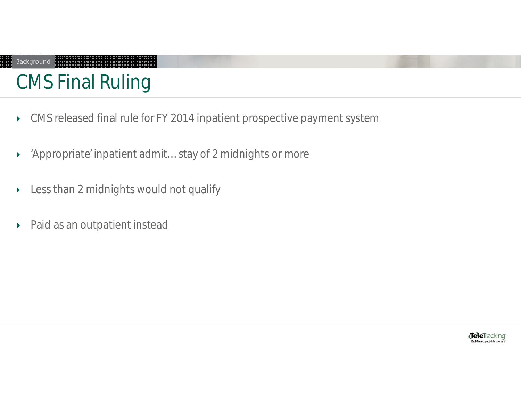### Background

# CMS Final Ruling

- CMS released final rule for FY 2014 inpatient prospective payment system
- 'Appropriate' inpatient admit…stay of 2 midnights or more
- Less than 2 midnights would not qualify
- Paid as an outpatient instead

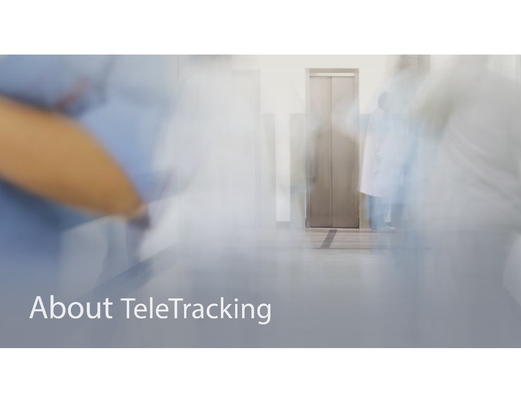# About TeleTracking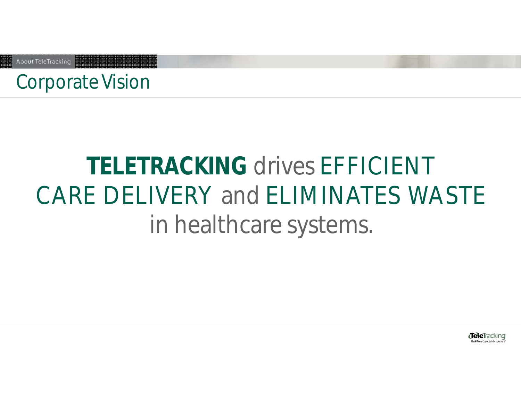About TeleTracking

## Corporate Vision

# **TELETRACKING** drives EFFICIENT CARE DELIVERY and ELIMINATES WASTE in healthcare systems.

**TeleTracking** eal-Time Casacity Manage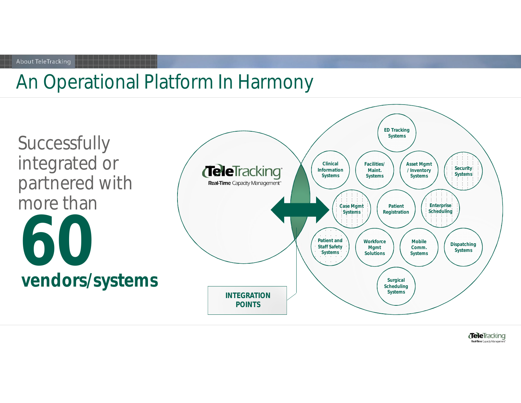#### About TeleTracking

## An Operational Platform In Harmony



**Tele**Tracking Real-Time Capacity Management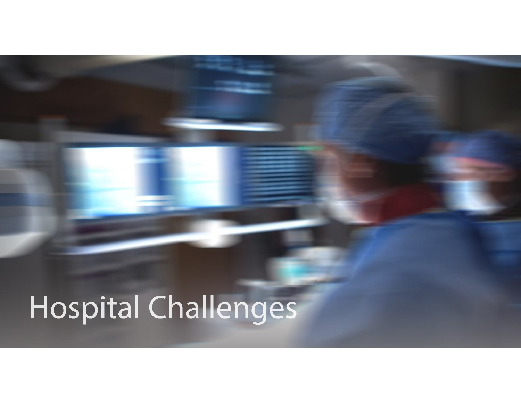# Hospital Challenges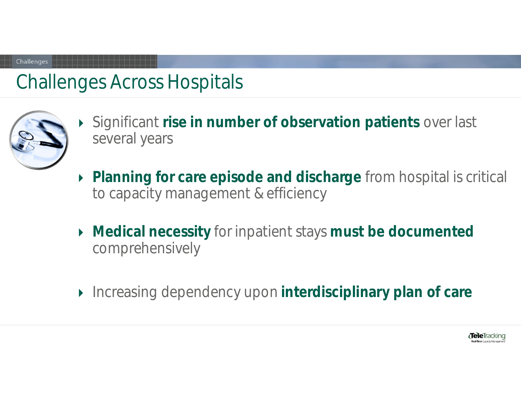## Challenges Across Hospitals



**Challenges** 

- Significant **rise in number of observation patients** over last several years
- **Planning for care episode and discharge** from hospital is critical to capacity management & efficiency
- **Medical necessity** for inpatient stays **must be documented**  comprehensively
- Increasing dependency upon **interdisciplinary plan of care**

*d*eleiracking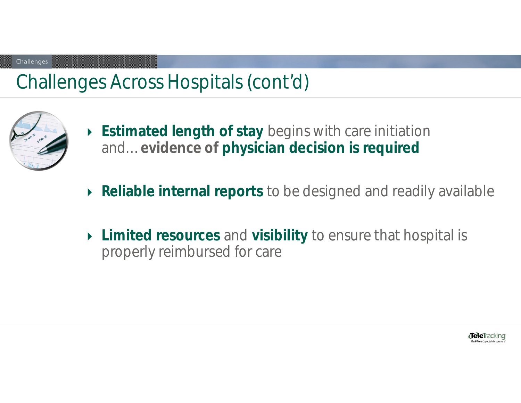## Challenges Across Hospitals (cont'd)



**Challenges** 

- **Estimated length of stay** begins with care initiation and…**evidence of physician decision is required**
- **Reliable internal reports** to be designed and readily available
- **Limited resources** and **visibility** to ensure that hospital is properly reimbursed for care

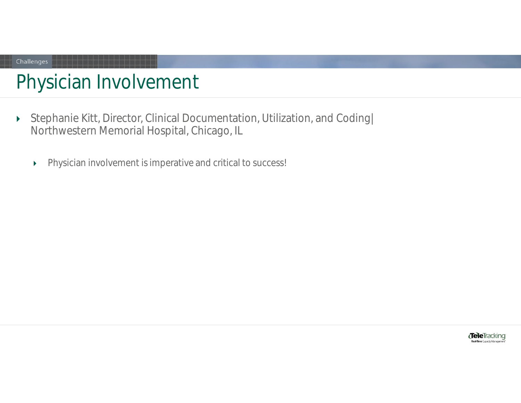# Physician Involvement

Challenges

- Stephanie Kitt, Director, Clinical Documentation, Utilization, and Coding| Northwestern Memorial Hospital, Chicago, IL
	- Physician involvement is imperative and critical to success!

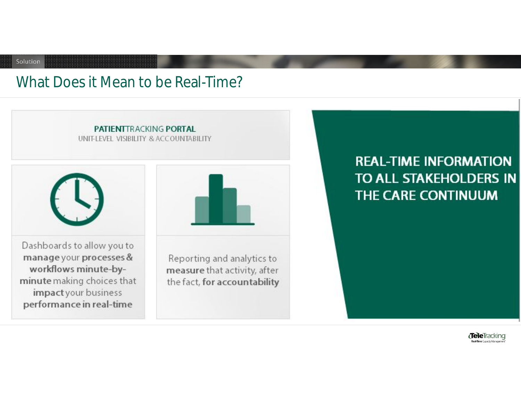### What Does it Mean to be Real-Time?

Solution



**REAL-TIME INFORMATION** TO ALL STAKEHOLDERS IN THE CARE CONTINUUM

> **Tele**Tracking e<br>Real-Time Capacity Manageme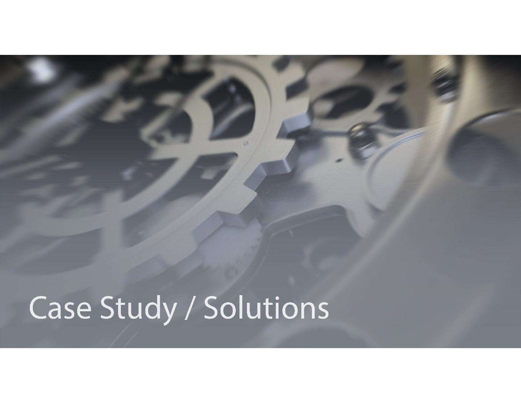# Case Study / Solutions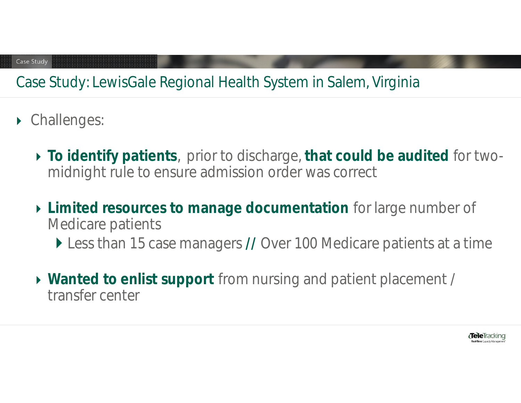### Case Study: LewisGale Regional Health System in Salem, Virginia

- ▶ Challenges:
	- **To identify patients**, prior to discharge, **that could be audited** for twomidnight rule to ensure admission order was correct
	- **Limited resources to manage documentation** for large number of Medicare patients
		- Less than 15 case managers **//** Over 100 Medicare patients at a time
	- **Wanted to enlist support** from nursing and patient placement / transfer center

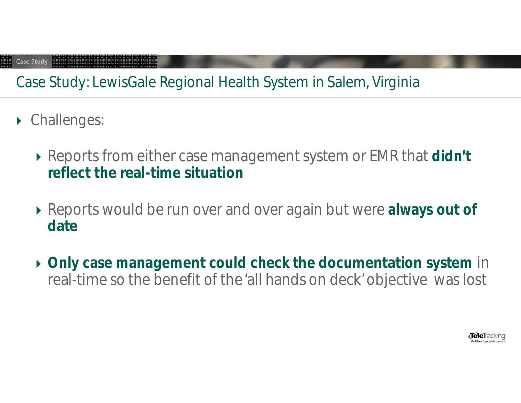### Case Study: LewisGale Regional Health System in Salem, Virginia

- ▶ Challenges:
	- Reports from either case management system or EMR that **didn't reflect the real-time situation**
	- Reports would be run over and over again but were **always out of date**
	- **Only case management could check the documentation system** in real-time so the benefit of the 'all hands on deck' objective was lost

**Tele**Tracking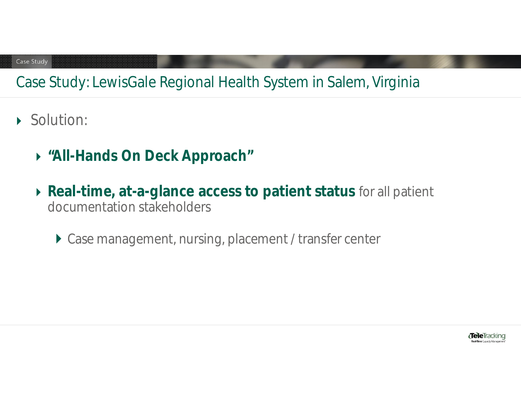### Case Study: LewisGale Regional Health System in Salem, Virginia

- Solution:
	- **"All-Hands On Deck Approach"**
	- **Real-time, at-a-glance access to patient status** for all patient documentation stakeholders
		- ▶ Case management, nursing, placement / transfer center

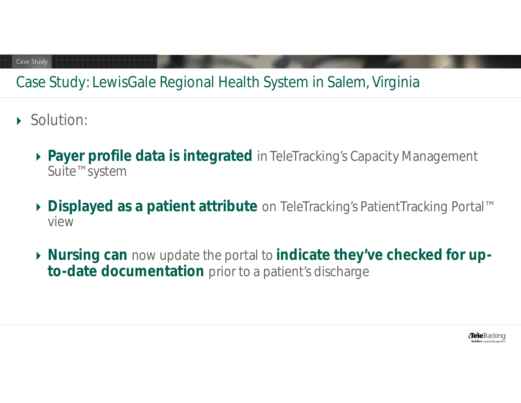### Case Study: LewisGale Regional Health System in Salem, Virginia

- Solution:
	- **Payer profile data is integrated** in TeleTracking's Capacity Management Suite™ system
	- **Displayed as a patient attribute** on TeleTracking's PatientTracking Portal™ view
	- **Nursing can** now update the portal to **indicate they've checked for upto-date documentation** prior to a patient's discharge

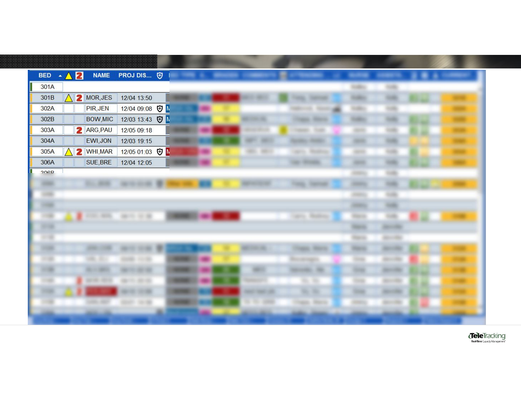| BED $\land$ 2 |   | <b>NAME</b>          | PROJ DIS [9]                   |  |  |                      |                                     |                   |                     |  |
|---------------|---|----------------------|--------------------------------|--|--|----------------------|-------------------------------------|-------------------|---------------------|--|
| 301A          |   |                      |                                |  |  |                      |                                     | <b>TABLE</b>      | w                   |  |
| 301B          |   | 2 MOR, JES           | 12/04 13:50                    |  |  |                      | <b>Company</b>                      | <b>TORICO</b>     | <b>SORE</b>         |  |
| 302A          |   | PIR, JEN             | 12/04 09:08 <b>D</b> M         |  |  |                      |                                     | <b>SUBDIT</b>     | w                   |  |
| 302B          |   | <b>BOW,MIC</b>       | 12/03 13:43 <b>D</b>           |  |  | 2006-108             | <b>Hings</b><br><b>CONTRACTOR</b>   | <b>TURNER</b>     | w                   |  |
| 303A          |   | <b>2</b> ARG, PAU    | 12/05 09:18                    |  |  | abover 1981 cod-     | <b>Strate</b><br><b>Thermodel -</b> | <b>GENERAL</b>    | m                   |  |
| 304A          |   | EWI, JON             | 12/03 19:15                    |  |  | <b>AMER</b><br>386.0 | <b>HORACE</b>                       | <b>SECURITY</b>   | <b>HIRE</b>         |  |
| 305A          | 2 | <b>WHI, MAR</b>      | 12/05 01:03 <b>D</b>           |  |  | <b>SEE SEE</b>       | <b>Reading</b><br><b>SALES</b>      | <b>SERVICE</b>    | m                   |  |
| 306A          |   | SUE, BRE             | 12/04 12:05                    |  |  |                      | <b>CARL SECURITY</b>                | <b>Harry Co</b>   | <b>SOURCE</b>       |  |
| 200D          |   |                      |                                |  |  |                      |                                     | <b>Joseph</b>     | 149                 |  |
| <b>HORACE</b> |   | <b>SELL SHOW</b>     | <b>SECRETARY OF</b>            |  |  |                      | <b>TORIC TERRITORY</b>              | <b>STERNE</b>     | <b>TOM</b>          |  |
| <b>SHEET</b>  |   |                      |                                |  |  |                      |                                     | <b>STATISTICS</b> | 109                 |  |
| <b>STORY</b>  |   |                      |                                |  |  |                      |                                     | <b>SERVICE</b>    | <b>THEFT</b>        |  |
| -             |   |                      | and the same state of the con- |  |  |                      | Larry Modern                        | <b>Higgs de</b>   | <b>SHEE</b>         |  |
| 397400        |   |                      |                                |  |  |                      |                                     | <b>THEFT</b>      | <b>REFERENCE</b>    |  |
| - 3           |   |                      |                                |  |  |                      |                                     | <b>TORONTO</b>    | <b>REGISTER</b>     |  |
| 101005        |   | 100011-0020          | to can.                        |  |  | <b>Controller</b>    | <b>COMMON SERVICE</b>               | 200103            | <b>JEED CREW</b>    |  |
| <b>HOME</b>   |   | m.<br><b>STATE</b>   | 10100<br>convents.             |  |  |                      | <b>MOTORETS</b>                     | 1974              | 10000100            |  |
| <b>HORN</b>   |   | <b>BELLEVILLE</b>    | <b>BETWEEN STATE</b>           |  |  | <b>SERVICE</b>       | <b>SECOND RE</b>                    |                   | <b>BERGERE</b>      |  |
| <b>COMP</b>   |   | and and              | ---                            |  |  |                      |                                     | 1949              | <b>BOOTHER</b>      |  |
|               |   |                      | <b>ALCOHOL: NO WELL</b>        |  |  | <b>Contractor</b>    | <b>WALL THE</b>                     |                   | <b>March 1980</b>   |  |
|               |   | <b>JANES</b><br>an i | <b>STEERS</b><br>101100        |  |  | $11 - 24 - 24000$    | <b>TOWERS - STARTING</b>            | 494191            | <b>BELIEVE CREW</b> |  |
|               |   |                      |                                |  |  |                      | 394<br><b>MARKET</b>                |                   |                     |  |

TeleTracking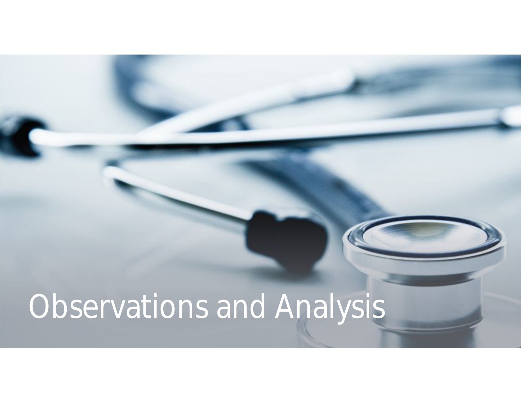# Observations and Analysis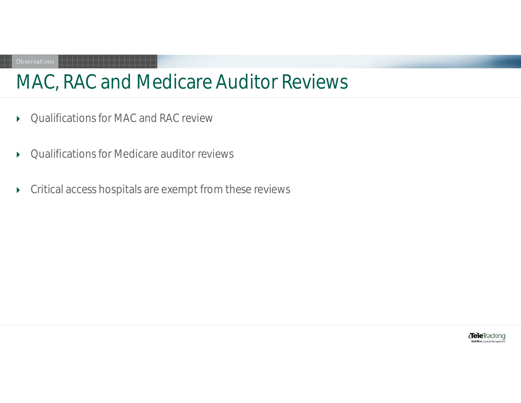## MAC, RAC and Medicare Auditor Reviews

- ▶ Qualifications for MAC and RAC review
- Qualifications for Medicare auditor reviews
- Critical access hospitals are exempt from these reviews

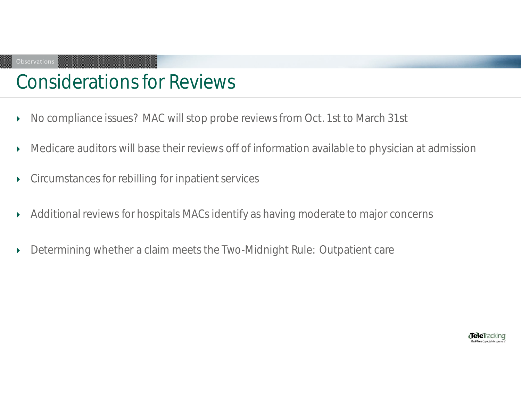## Considerations for Reviews

- ▶ No compliance issues? MAC will stop probe reviews from Oct. 1st to March 31st
- Medicare auditors will base their reviews off of information available to physician at admission
- Circumstances for rebilling for inpatient services
- Additional reviews for hospitals MACs identify as having moderate to major concerns
- Determining whether a claim meets the Two-Midnight Rule: Outpatient care

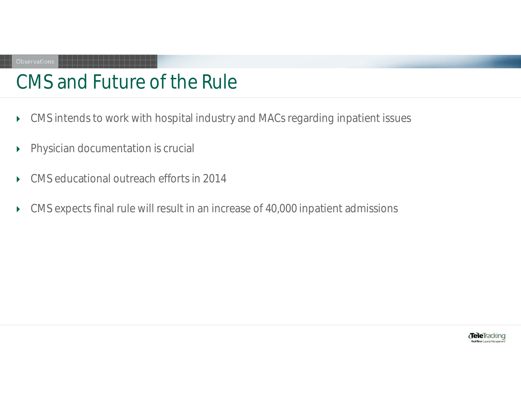## CMS and Future of the Rule

- CMS intends to work with hospital industry and MACs regarding inpatient issues
- **Physician documentation is crucial**
- ▶ CMS educational outreach efforts in 2014
- CMS expects final rule will result in an increase of 40,000 inpatient admissions

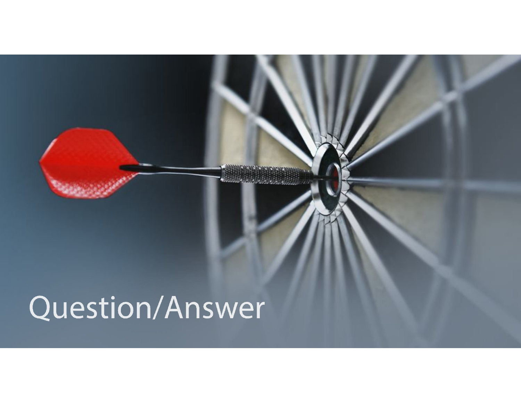# Question/Answer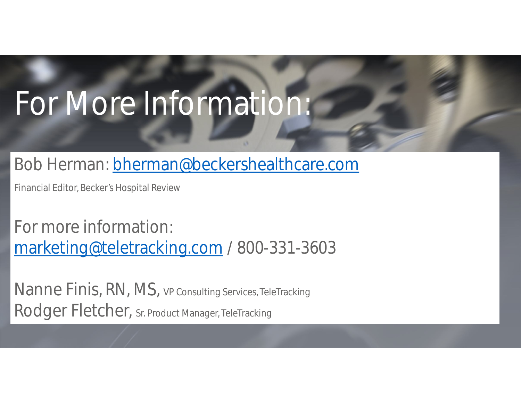# For More Information:

### Bob Herman: bherman@beckershealthcare.com

Financial Editor, Becker's Hospital Review

For more information: marketing@teletracking.com / 800-331-3603

Nanne Finis, RN, MS, VP Consulting Services, TeleTracking Rodger Fletcher, Sr. Product Manager, TeleTracking